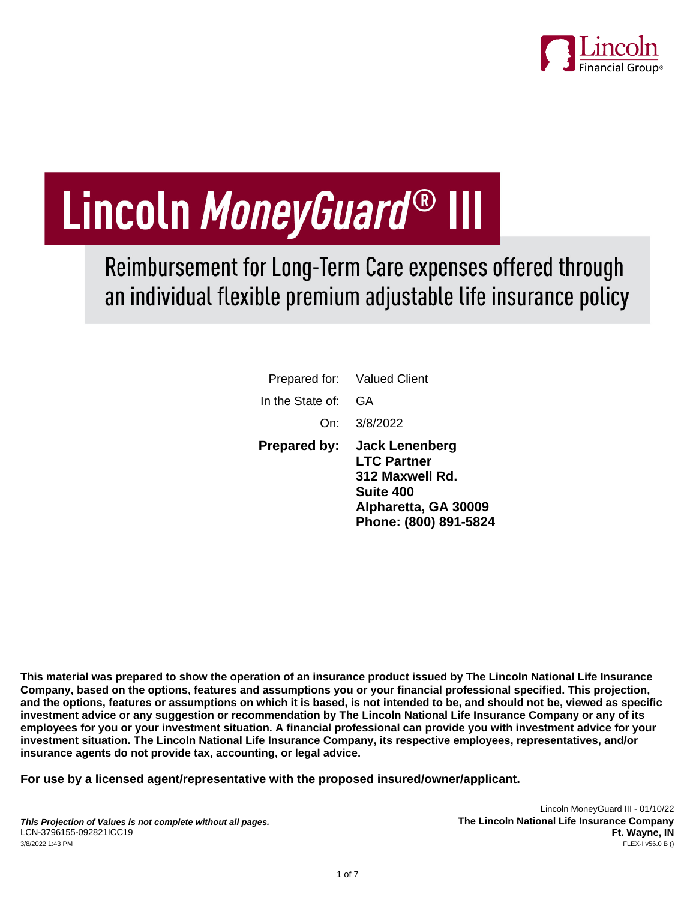

# Lincoln MoneyGuard® III

Reimbursement for Long-Term Care expenses offered through an individual flexible premium adjustable life insurance policy

|                     | Prepared for: Valued Client                                                                                                         |
|---------------------|-------------------------------------------------------------------------------------------------------------------------------------|
| In the State of:    | GA                                                                                                                                  |
|                     | On: 3/8/2022                                                                                                                        |
| <b>Prepared by:</b> | <b>Jack Lenenberg</b><br><b>LTC Partner</b><br>312 Maxwell Rd.<br><b>Suite 400</b><br>Alpharetta, GA 30009<br>Phone: (800) 891-5824 |

**This material was prepared to show the operation of an insurance product issued by The Lincoln National Life Insurance Company, based on the options, features and assumptions you or your financial professional specified. This projection, and the options, features or assumptions on which it is based, is not intended to be, and should not be, viewed as specific investment advice or any suggestion or recommendation by The Lincoln National Life Insurance Company or any of its employees for you or your investment situation. A financial professional can provide you with investment advice for your investment situation. The Lincoln National Life Insurance Company, its respective employees, representatives, and/or insurance agents do not provide tax, accounting, or legal advice.**

**For use by a licensed agent/representative with the proposed insured/owner/applicant.**

Lincoln MoneyGuard III - 01/10/22 **The Lincoln National Life Insurance Company Ft. Wayne, IN**<br>FLEX-I v56.0 B ()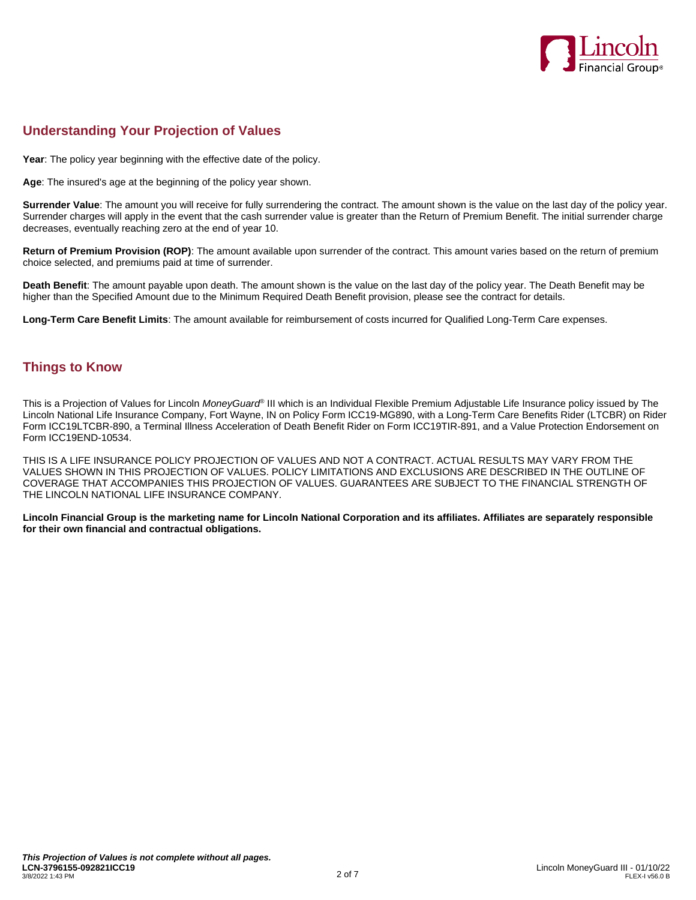

# **Understanding Your Projection of Values**

**Year**: The policy year beginning with the effective date of the policy.

**Age**: The insured's age at the beginning of the policy year shown.

**Surrender Value**: The amount you will receive for fully surrendering the contract. The amount shown is the value on the last day of the policy year. Surrender charges will apply in the event that the cash surrender value is greater than the Return of Premium Benefit. The initial surrender charge decreases, eventually reaching zero at the end of year 10.

**Return of Premium Provision (ROP)**: The amount available upon surrender of the contract. This amount varies based on the return of premium choice selected, and premiums paid at time of surrender.

**Death Benefit**: The amount payable upon death. The amount shown is the value on the last day of the policy year. The Death Benefit may be higher than the Specified Amount due to the Minimum Required Death Benefit provision, please see the contract for details.

**Long-Term Care Benefit Limits**: The amount available for reimbursement of costs incurred for Qualified Long-Term Care expenses.

#### **Things to Know**

This is a Projection of Values for Lincoln *MoneyGuard*® III which is an Individual Flexible Premium Adjustable Life Insurance policy issued by The Lincoln National Life Insurance Company, Fort Wayne, IN on Policy Form ICC19-MG890, with a Long-Term Care Benefits Rider (LTCBR) on Rider Form ICC19LTCBR-890, a Terminal Illness Acceleration of Death Benefit Rider on Form ICC19TIR-891, and a Value Protection Endorsement on Form ICC19END-10534.

THIS IS A LIFE INSURANCE POLICY PROJECTION OF VALUES AND NOT A CONTRACT. ACTUAL RESULTS MAY VARY FROM THE VALUES SHOWN IN THIS PROJECTION OF VALUES. POLICY LIMITATIONS AND EXCLUSIONS ARE DESCRIBED IN THE OUTLINE OF COVERAGE THAT ACCOMPANIES THIS PROJECTION OF VALUES. GUARANTEES ARE SUBJECT TO THE FINANCIAL STRENGTH OF THE LINCOLN NATIONAL LIFE INSURANCE COMPANY.

**Lincoln Financial Group is the marketing name for Lincoln National Corporation and its affiliates. Affiliates are separately responsible for their own financial and contractual obligations.**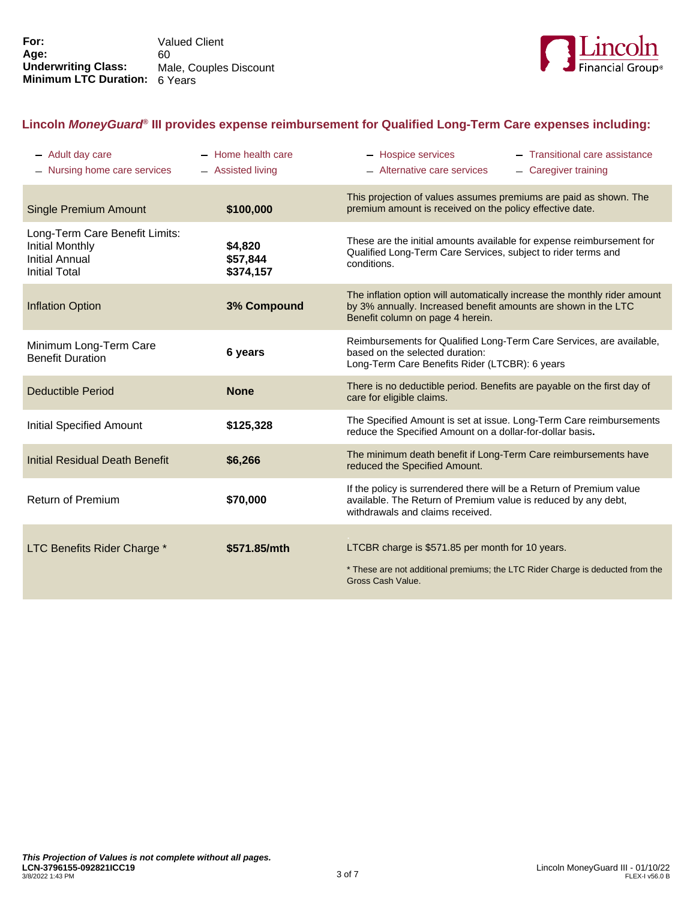

## **Lincoln** *MoneyGuard***® III provides expense reimbursement for Qualified Long-Term Care expenses including:**

| - Adult day care<br>- Nursing home care services                                                          | - Home health care<br>- Assisted living | - Hospice services<br>- Alternative care services                                                                                                                               | - Transitional care assistance<br>- Caregiver training |
|-----------------------------------------------------------------------------------------------------------|-----------------------------------------|---------------------------------------------------------------------------------------------------------------------------------------------------------------------------------|--------------------------------------------------------|
| <b>Single Premium Amount</b>                                                                              | \$100,000                               | This projection of values assumes premiums are paid as shown. The<br>premium amount is received on the policy effective date.                                                   |                                                        |
| Long-Term Care Benefit Limits:<br><b>Initial Monthly</b><br><b>Initial Annual</b><br><b>Initial Total</b> | \$4,820<br>\$57,844<br>\$374,157        | These are the initial amounts available for expense reimbursement for<br>Qualified Long-Term Care Services, subject to rider terms and<br>conditions.                           |                                                        |
| <b>Inflation Option</b>                                                                                   | 3% Compound                             | The inflation option will automatically increase the monthly rider amount<br>by 3% annually. Increased benefit amounts are shown in the LTC<br>Benefit column on page 4 herein. |                                                        |
| Minimum Long-Term Care<br><b>Benefit Duration</b>                                                         | 6 years                                 | Reimbursements for Qualified Long-Term Care Services, are available,<br>based on the selected duration:<br>Long-Term Care Benefits Rider (LTCBR): 6 years                       |                                                        |
| Deductible Period                                                                                         | <b>None</b>                             | There is no deductible period. Benefits are payable on the first day of<br>care for eligible claims.                                                                            |                                                        |
| <b>Initial Specified Amount</b>                                                                           | \$125,328                               | The Specified Amount is set at issue. Long-Term Care reimbursements<br>reduce the Specified Amount on a dollar-for-dollar basis.                                                |                                                        |
| <b>Initial Residual Death Benefit</b>                                                                     | \$6,266                                 | The minimum death benefit if Long-Term Care reimbursements have<br>reduced the Specified Amount.                                                                                |                                                        |
| <b>Return of Premium</b>                                                                                  | \$70,000                                | If the policy is surrendered there will be a Return of Premium value<br>available. The Return of Premium value is reduced by any debt,<br>withdrawals and claims received.      |                                                        |
| LTC Benefits Rider Charge *                                                                               | \$571.85/mth                            | LTCBR charge is \$571.85 per month for 10 years.<br>* These are not additional premiums; the LTC Rider Charge is deducted from the<br>Gross Cash Value.                         |                                                        |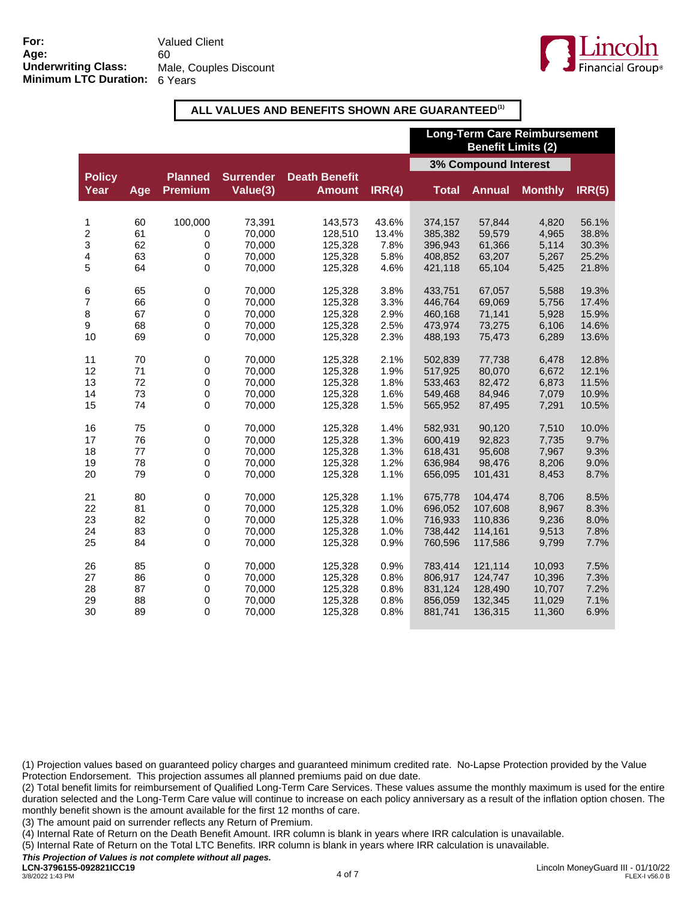

#### **ALL VALUES AND BENEFITS SHOWN ARE GUARANTEED(1)**

|                       |          |                                  |                              |                                       |               | <b>Long-Term Care Reimbursement</b><br><b>Benefit Limits (2)</b> |                  |                |                |
|-----------------------|----------|----------------------------------|------------------------------|---------------------------------------|---------------|------------------------------------------------------------------|------------------|----------------|----------------|
|                       |          |                                  |                              |                                       |               | 3% Compound Interest                                             |                  |                |                |
| <b>Policy</b><br>Year | Age      | <b>Planned</b><br><b>Premium</b> | <b>Surrender</b><br>Value(3) | <b>Death Benefit</b><br><b>Amount</b> | IRR(4)        | <b>Total</b>                                                     | <b>Annual</b>    | <b>Monthly</b> | IRR(5)         |
|                       |          |                                  |                              |                                       |               |                                                                  |                  |                |                |
| 1                     | 60       | 100,000                          | 73,391                       | 143,573                               | 43.6%         | 374,157                                                          | 57,844           | 4,820          | 56.1%          |
| 2<br>3                | 61<br>62 | 0<br>$\pmb{0}$                   | 70,000<br>70,000             | 128,510<br>125,328                    | 13.4%<br>7.8% | 385,382<br>396,943                                               | 59,579<br>61,366 | 4,965<br>5,114 | 38.8%<br>30.3% |
| 4                     | 63       | 0                                | 70.000                       | 125,328                               | 5.8%          | 408,852                                                          | 63,207           | 5,267          | 25.2%          |
| 5                     | 64       | $\mathbf 0$                      | 70,000                       | 125,328                               | 4.6%          | 421,118                                                          | 65,104           | 5,425          | 21.8%          |
|                       |          |                                  |                              |                                       |               |                                                                  |                  |                |                |
| 6                     | 65       | $\pmb{0}$                        | 70,000                       | 125,328                               | 3.8%          | 433,751                                                          | 67,057           | 5,588          | 19.3%          |
| 7                     | 66       | 0                                | 70,000                       | 125,328                               | 3.3%          | 446,764                                                          | 69,069           | 5,756          | 17.4%          |
| 8                     | 67       | $\pmb{0}$                        | 70,000                       | 125,328                               | 2.9%          | 460,168                                                          | 71,141           | 5,928          | 15.9%          |
| 9                     | 68       | 0                                | 70,000                       | 125,328                               | 2.5%          | 473,974                                                          | 73,275           | 6,106          | 14.6%          |
| 10                    | 69       | 0                                | 70,000                       | 125,328                               | 2.3%          | 488,193                                                          | 75,473           | 6,289          | 13.6%          |
| 11                    | 70       | $\pmb{0}$                        | 70,000                       | 125,328                               | 2.1%          | 502,839                                                          | 77,738           | 6,478          | 12.8%          |
| 12                    | 71       | 0                                | 70,000                       | 125,328                               | 1.9%          | 517,925                                                          | 80,070           | 6,672          | 12.1%          |
| 13                    | 72       | $\mathbf 0$                      | 70,000                       | 125,328                               | 1.8%          | 533,463                                                          | 82,472           | 6,873          | 11.5%          |
| 14                    | 73       | $\mathbf 0$                      | 70,000                       | 125,328                               | 1.6%          | 549,468                                                          | 84,946           | 7,079          | 10.9%          |
| 15                    | 74       | $\pmb{0}$                        | 70,000                       | 125,328                               | 1.5%          | 565,952                                                          | 87,495           | 7,291          | 10.5%          |
|                       |          |                                  |                              |                                       |               |                                                                  |                  |                |                |
| 16                    | 75       | $\pmb{0}$                        | 70,000                       | 125,328                               | 1.4%          | 582,931                                                          | 90,120           | 7,510          | 10.0%          |
| 17                    | 76       | 0                                | 70,000                       | 125,328                               | 1.3%          | 600,419                                                          | 92,823           | 7,735          | 9.7%           |
| 18                    | 77       | $\mathbf 0$                      | 70,000                       | 125,328                               | 1.3%          | 618,431                                                          | 95,608           | 7,967          | 9.3%           |
| 19<br>20              | 78       | 0<br>$\mathbf 0$                 | 70,000                       | 125,328                               | 1.2%          | 636,984                                                          | 98,476           | 8,206          | 9.0%           |
|                       | 79       |                                  | 70,000                       | 125,328                               | 1.1%          | 656,095                                                          | 101,431          | 8,453          | 8.7%           |
| 21                    | 80       | $\pmb{0}$                        | 70,000                       | 125,328                               | 1.1%          | 675,778                                                          | 104,474          | 8,706          | 8.5%           |
| 22                    | 81       | 0                                | 70,000                       | 125,328                               | 1.0%          | 696,052                                                          | 107,608          | 8,967          | 8.3%           |
| 23                    | 82       | 0                                | 70,000                       | 125,328                               | 1.0%          | 716,933                                                          | 110,836          | 9,236          | 8.0%           |
| 24                    | 83       | $\mathbf 0$                      | 70,000                       | 125,328                               | 1.0%          | 738,442                                                          | 114,161          | 9,513          | 7.8%           |
| 25                    | 84       | 0                                | 70,000                       | 125,328                               | 0.9%          | 760,596                                                          | 117,586          | 9,799          | 7.7%           |
| 26                    | 85       | $\pmb{0}$                        | 70,000                       | 125,328                               | 0.9%          | 783,414                                                          | 121,114          | 10,093         | 7.5%           |
| 27                    | 86       | $\mathbf 0$                      | 70,000                       | 125,328                               | 0.8%          | 806,917                                                          | 124,747          | 10,396         | 7.3%           |
| 28                    | 87       | 0                                | 70,000                       | 125,328                               | 0.8%          | 831,124                                                          | 128,490          | 10,707         | 7.2%           |
| 29                    | 88       | 0                                | 70,000                       | 125,328                               | 0.8%          | 856,059                                                          | 132,345          | 11,029         | 7.1%           |
| 30                    | 89       | 0                                | 70,000                       | 125,328                               | 0.8%          | 881,741                                                          | 136,315          | 11,360         | 6.9%           |
|                       |          |                                  |                              |                                       |               |                                                                  |                  |                |                |

(1) Projection values based on guaranteed policy charges and guaranteed minimum credited rate. No-Lapse Protection provided by the Value Protection Endorsement. This projection assumes all planned premiums paid on due date.

(2) Total benefit limits for reimbursement of Qualified Long-Term Care Services. These values assume the monthly maximum is used for the entire duration selected and the Long-Term Care value will continue to increase on each policy anniversary as a result of the inflation option chosen. The monthly benefit shown is the amount available for the first 12 months of care.

(3) The amount paid on surrender reflects any Return of Premium.

(4) Internal Rate of Return on the Death Benefit Amount. IRR column is blank in years where IRR calculation is unavailable.

(5) Internal Rate of Return on the Total LTC Benefits. IRR column is blank in years where IRR calculation is unavailable.

*This Projection of Values is not complete without all pages.*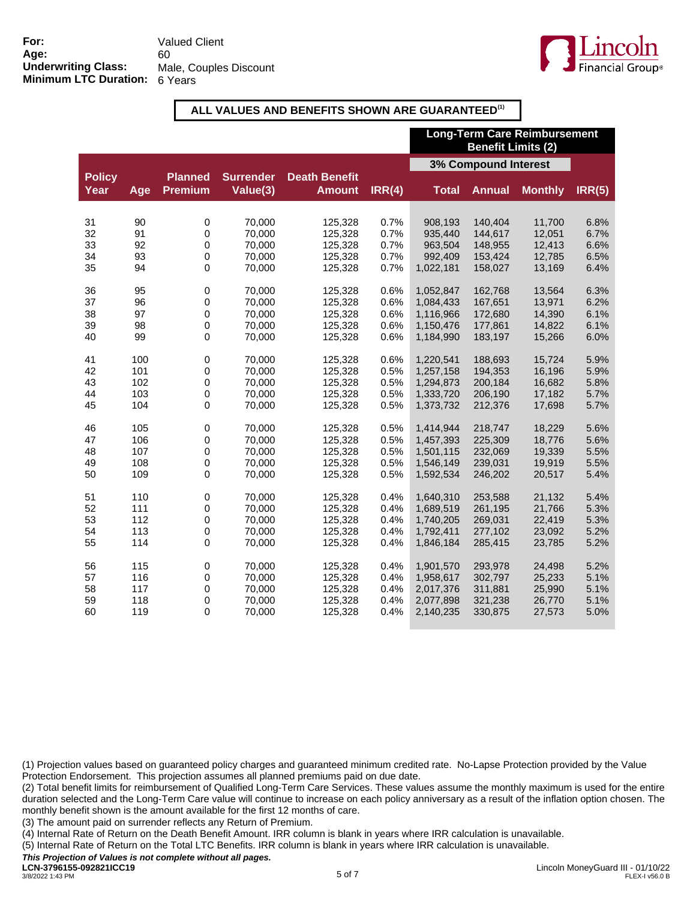

### **ALL VALUES AND BENEFITS SHOWN ARE GUARANTEED(1)**

|                       |     |                                  |                              |                                       |        | <b>Long-Term Care Reimbursement</b><br><b>Benefit Limits (2)</b> |               |                |        |
|-----------------------|-----|----------------------------------|------------------------------|---------------------------------------|--------|------------------------------------------------------------------|---------------|----------------|--------|
|                       |     |                                  |                              |                                       |        | 3% Compound Interest                                             |               |                |        |
| <b>Policy</b><br>Year | Age | <b>Planned</b><br><b>Premium</b> | <b>Surrender</b><br>Value(3) | <b>Death Benefit</b><br><b>Amount</b> | IRR(4) | <b>Total</b>                                                     | <b>Annual</b> | <b>Monthly</b> | IRR(5) |
| 31                    | 90  | 0                                | 70,000                       | 125,328                               | 0.7%   | 908,193                                                          | 140,404       | 11,700         | 6.8%   |
| 32                    | 91  | $\pmb{0}$                        | 70,000                       | 125,328                               | 0.7%   | 935,440                                                          | 144,617       | 12,051         | 6.7%   |
| 33                    | 92  | 0                                | 70,000                       | 125,328                               | 0.7%   | 963,504                                                          | 148,955       | 12,413         | 6.6%   |
| 34                    | 93  | 0                                | 70.000                       | 125,328                               | 0.7%   | 992.409                                                          | 153,424       | 12,785         | 6.5%   |
| 35                    | 94  | $\mathbf 0$                      | 70,000                       | 125,328                               | 0.7%   | 1,022,181                                                        | 158,027       | 13,169         | 6.4%   |
| 36                    | 95  | $\pmb{0}$                        | 70,000                       | 125,328                               | 0.6%   | 1,052,847                                                        | 162,768       | 13,564         | 6.3%   |
| 37                    | 96  | 0                                | 70,000                       | 125,328                               | 0.6%   | 1,084,433                                                        | 167,651       | 13,971         | 6.2%   |
| 38                    | 97  | $\pmb{0}$                        | 70,000                       | 125,328                               | 0.6%   | 1,116,966                                                        | 172,680       | 14,390         | 6.1%   |
| 39                    | 98  | 0                                | 70,000                       | 125,328                               | 0.6%   | 1,150,476                                                        | 177,861       | 14,822         | 6.1%   |
| 40                    | 99  | 0                                | 70,000                       | 125,328                               | 0.6%   | 1,184,990                                                        | 183,197       | 15,266         | 6.0%   |
|                       |     |                                  |                              |                                       |        |                                                                  |               |                |        |
| 41                    | 100 | $\pmb{0}$                        | 70,000                       | 125,328                               | 0.6%   | 1,220,541                                                        | 188.693       | 15,724         | 5.9%   |
| 42                    | 101 | 0                                | 70,000                       | 125,328                               | 0.5%   | 1,257,158                                                        | 194,353       | 16,196         | 5.9%   |
| 43                    | 102 | $\boldsymbol{0}$                 | 70,000                       | 125,328                               | 0.5%   | 1,294,873                                                        | 200,184       | 16,682         | 5.8%   |
| 44                    | 103 | $\boldsymbol{0}$                 | 70,000                       | 125,328                               | 0.5%   | 1,333,720                                                        | 206,190       | 17,182         | 5.7%   |
| 45                    | 104 | 0                                | 70,000                       | 125,328                               | 0.5%   | 1,373,732                                                        | 212,376       | 17,698         | 5.7%   |
| 46                    | 105 | $\pmb{0}$                        | 70,000                       | 125,328                               | 0.5%   | 1,414,944                                                        | 218,747       | 18,229         | 5.6%   |
| 47                    | 106 | 0                                | 70,000                       | 125,328                               | 0.5%   | 1,457,393                                                        | 225,309       | 18,776         | 5.6%   |
| 48                    | 107 | 0                                | 70,000                       | 125,328                               | 0.5%   | 1,501,115                                                        | 232,069       | 19,339         | 5.5%   |
| 49                    | 108 | 0                                | 70,000                       | 125,328                               | 0.5%   | 1,546,149                                                        | 239,031       | 19,919         | 5.5%   |
| 50                    | 109 | 0                                | 70,000                       | 125,328                               | 0.5%   | 1,592,534                                                        | 246,202       | 20,517         | 5.4%   |
| 51                    | 110 | 0                                | 70,000                       | 125,328                               | 0.4%   | 1,640,310                                                        | 253,588       | 21,132         | 5.4%   |
| 52                    | 111 | 0                                | 70,000                       | 125,328                               | 0.4%   | 1,689,519                                                        | 261,195       | 21,766         | 5.3%   |
| 53                    | 112 | 0                                | 70,000                       | 125,328                               | 0.4%   | 1,740,205                                                        | 269,031       | 22,419         | 5.3%   |
| 54                    | 113 | $\pmb{0}$                        | 70,000                       | 125,328                               | 0.4%   | 1,792,411                                                        | 277,102       | 23,092         | 5.2%   |
| 55                    | 114 | 0                                | 70,000                       | 125,328                               | 0.4%   | 1,846,184                                                        | 285,415       | 23,785         | 5.2%   |
| 56                    | 115 | $\pmb{0}$                        | 70,000                       | 125,328                               | 0.4%   | 1,901,570                                                        | 293,978       | 24,498         | 5.2%   |
| 57                    | 116 | $\mathbf 0$                      | 70,000                       | 125,328                               | 0.4%   | 1,958,617                                                        | 302,797       | 25,233         | 5.1%   |
| 58                    | 117 | 0                                | 70,000                       | 125,328                               | 0.4%   | 2,017,376                                                        | 311,881       | 25,990         | 5.1%   |
| 59                    | 118 | 0                                | 70,000                       | 125,328                               | 0.4%   | 2,077,898                                                        | 321,238       | 26,770         | 5.1%   |
| 60                    | 119 | 0                                | 70,000                       | 125,328                               | 0.4%   | 2,140,235                                                        | 330,875       | 27,573         | 5.0%   |
|                       |     |                                  |                              |                                       |        |                                                                  |               |                |        |

(1) Projection values based on guaranteed policy charges and guaranteed minimum credited rate. No-Lapse Protection provided by the Value Protection Endorsement. This projection assumes all planned premiums paid on due date.

(2) Total benefit limits for reimbursement of Qualified Long-Term Care Services. These values assume the monthly maximum is used for the entire duration selected and the Long-Term Care value will continue to increase on each policy anniversary as a result of the inflation option chosen. The monthly benefit shown is the amount available for the first 12 months of care.

(3) The amount paid on surrender reflects any Return of Premium.

(4) Internal Rate of Return on the Death Benefit Amount. IRR column is blank in years where IRR calculation is unavailable.

(5) Internal Rate of Return on the Total LTC Benefits. IRR column is blank in years where IRR calculation is unavailable.

*This Projection of Values is not complete without all pages.*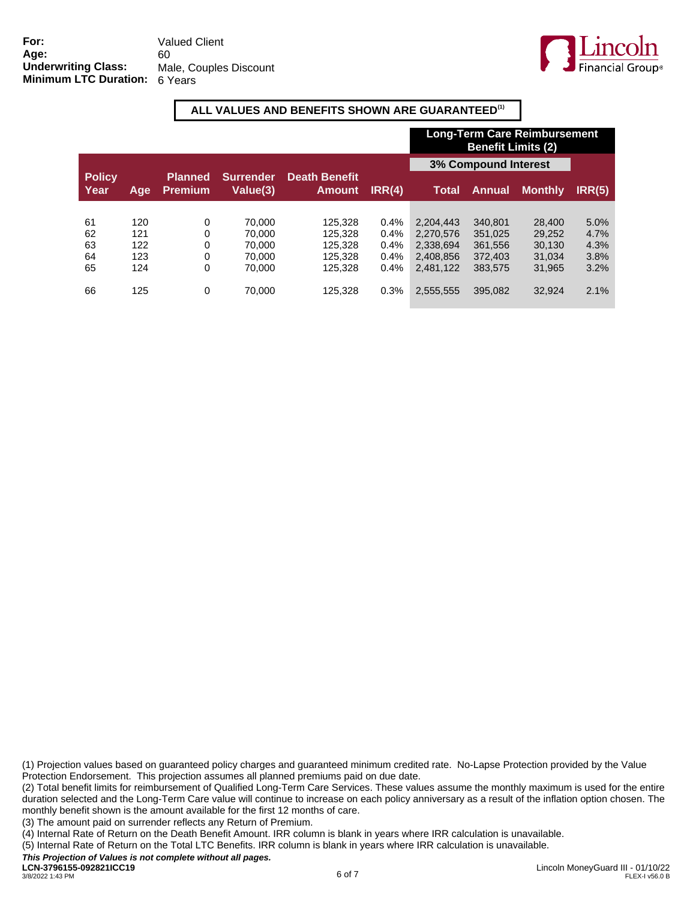

#### **ALL VALUES AND BENEFITS SHOWN ARE GUARANTEED(1)**

|                       |     |                                  |                              |                                |        | <b>Long-Term Care Reimbursement</b><br><b>Benefit Limits (2)</b> |               |                |        |
|-----------------------|-----|----------------------------------|------------------------------|--------------------------------|--------|------------------------------------------------------------------|---------------|----------------|--------|
|                       |     |                                  |                              |                                |        | <b>3% Compound Interest</b>                                      |               |                |        |
| <b>Policy</b><br>Year | Age | <b>Planned</b><br><b>Premium</b> | <b>Surrender</b><br>Value(3) | Death Benefit<br><b>Amount</b> | IRR(4) | Total                                                            | <b>Annual</b> | <b>Monthly</b> | IRR(5) |
|                       |     |                                  |                              |                                |        |                                                                  |               |                |        |
| 61                    | 120 | 0                                | 70.000                       | 125.328                        | 0.4%   | 2.204.443                                                        | 340.801       | 28,400         | 5.0%   |
| 62                    | 121 | 0                                | 70.000                       | 125.328                        | 0.4%   | 2.270.576                                                        | 351.025       | 29.252         | 4.7%   |
| 63                    | 122 | 0                                | 70.000                       | 125.328                        | 0.4%   | 2.338.694                                                        | 361.556       | 30.130         | 4.3%   |
| 64                    | 123 | 0                                | 70.000                       | 125.328                        | 0.4%   | 2.408.856                                                        | 372,403       | 31.034         | 3.8%   |
| 65                    | 124 | 0                                | 70.000                       | 125.328                        | 0.4%   | 2.481.122                                                        | 383.575       | 31.965         | 3.2%   |
| 66                    | 125 | 0                                | 70,000                       | 125,328                        | 0.3%   | 2,555,555                                                        | 395.082       | 32.924         | 2.1%   |

(1) Projection values based on guaranteed policy charges and guaranteed minimum credited rate. No-Lapse Protection provided by the Value Protection Endorsement. This projection assumes all planned premiums paid on due date.

(2) Total benefit limits for reimbursement of Qualified Long-Term Care Services. These values assume the monthly maximum is used for the entire duration selected and the Long-Term Care value will continue to increase on each policy anniversary as a result of the inflation option chosen. The monthly benefit shown is the amount available for the first 12 months of care.

(3) The amount paid on surrender reflects any Return of Premium.

(4) Internal Rate of Return on the Death Benefit Amount. IRR column is blank in years where IRR calculation is unavailable.

(5) Internal Rate of Return on the Total LTC Benefits. IRR column is blank in years where IRR calculation is unavailable.

*This Projection of Values is not complete without all pages.*